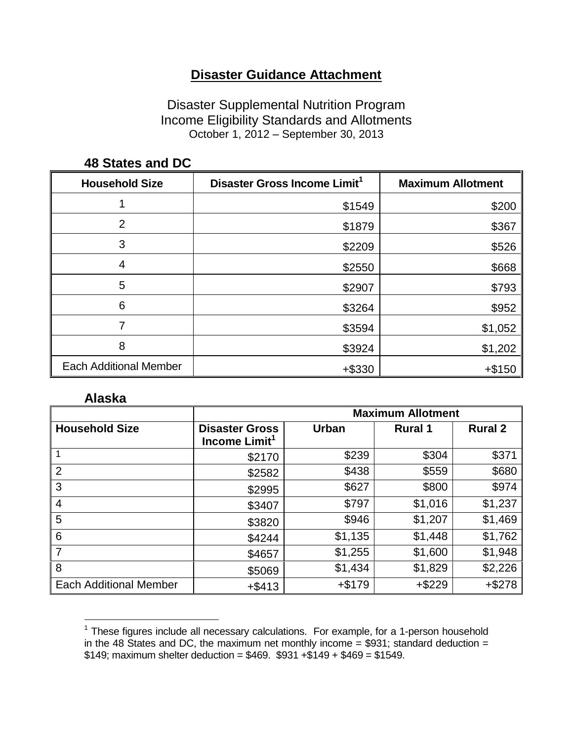## **Disaster Guidance Attachment**

Disaster Supplemental Nutrition Program Income Eligibility Standards and Allotments October 1, 2012 – September 30, 2013

| <b>Household Size</b>         | Disaster Gross Income Limit <sup>1</sup> | <b>Maximum Allotment</b> |
|-------------------------------|------------------------------------------|--------------------------|
|                               | \$1549                                   | \$200                    |
| $\overline{2}$                | \$1879                                   | \$367                    |
| 3                             | \$2209                                   | \$526                    |
| 4                             | \$2550                                   | \$668                    |
| 5                             | \$2907                                   | \$793                    |
| 6                             | \$3264                                   | \$952                    |
|                               | \$3594                                   | \$1,052                  |
| 8                             | \$3924                                   | \$1,202                  |
| <b>Each Additional Member</b> | +\$330                                   | $+ $150$                 |

#### **48 States and DC**

#### **Alaska**

L,

|                               | <b>Maximum Allotment</b>                           |              |                |                |
|-------------------------------|----------------------------------------------------|--------------|----------------|----------------|
| <b>Household Size</b>         | <b>Disaster Gross</b><br>Income Limit <sup>1</sup> | <b>Urban</b> | <b>Rural 1</b> | <b>Rural 2</b> |
|                               | \$2170                                             | \$239        | \$304          | \$371          |
| $\overline{2}$                | \$2582                                             | \$438        | \$559          | \$680          |
| 3                             | \$2995                                             | \$627        | \$800          | \$974          |
| $\overline{4}$                | \$3407                                             | \$797        | \$1,016        | \$1,237        |
| 5                             | \$3820                                             | \$946        | \$1,207        | \$1,469        |
| 6                             | \$4244                                             | \$1,135      | \$1,448        | \$1,762        |
| -7                            | \$4657                                             | \$1,255      | \$1,600        | \$1,948        |
| 8                             | \$5069                                             | \$1,434      | \$1,829        | \$2,226        |
| <b>Each Additional Member</b> | $+$ \$413                                          | $+$ \$179    | $+ $229$       | $+ $278$       |

 $1$  These figures include all necessary calculations. For example, for a 1-person household in the 48 States and DC, the maximum net monthly income  $= $931$ ; standard deduction  $=$  $$149$ ; maximum shelter deduction =  $$469.$   $$931 + $149 + $469 = $1549.$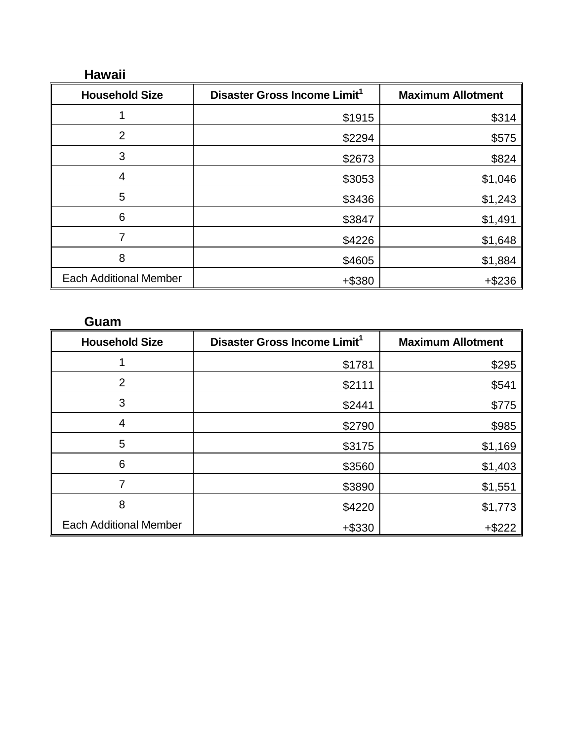### **Hawaii**

| <b>Household Size</b>         | Disaster Gross Income Limit <sup>1</sup> | <b>Maximum Allotment</b> |
|-------------------------------|------------------------------------------|--------------------------|
|                               | \$1915                                   | \$314                    |
| 2                             | \$2294                                   | \$575                    |
| 3                             | \$2673                                   | \$824                    |
| 4                             | \$3053                                   | \$1,046                  |
| 5                             | \$3436                                   | \$1,243                  |
| 6                             | \$3847                                   | \$1,491                  |
| 7                             | \$4226                                   | \$1,648                  |
| 8                             | \$4605                                   | \$1,884                  |
| <b>Each Additional Member</b> | +\$380                                   | $+ $236$                 |

## **Guam**

| <b>Household Size</b>         | Disaster Gross Income Limit <sup>1</sup> | <b>Maximum Allotment</b> |
|-------------------------------|------------------------------------------|--------------------------|
|                               | \$1781                                   | \$295                    |
| $\overline{2}$                | \$2111                                   | \$541                    |
| 3                             | \$2441                                   | \$775                    |
| 4                             | \$2790                                   | \$985                    |
| 5                             | \$3175                                   | \$1,169                  |
| 6                             | \$3560                                   | \$1,403                  |
| 7                             | \$3890                                   | \$1,551                  |
| 8                             | \$4220                                   | \$1,773                  |
| <b>Each Additional Member</b> | $+ $330$                                 | $+$ \$222                |